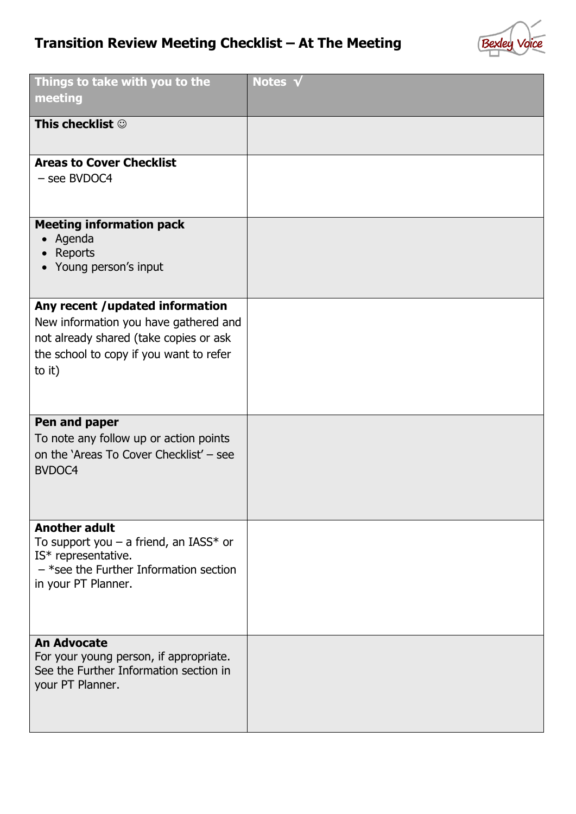## **Transition Review Meeting Checklist – At The Meeting**



| Things to take with you to the<br>meeting                                                                                                                               | Notes V |
|-------------------------------------------------------------------------------------------------------------------------------------------------------------------------|---------|
| This checklist ©                                                                                                                                                        |         |
| <b>Areas to Cover Checklist</b><br>- see BVDOC4                                                                                                                         |         |
| <b>Meeting information pack</b><br>Agenda<br>Reports<br>• Young person's input                                                                                          |         |
| Any recent /updated information<br>New information you have gathered and<br>not already shared (take copies or ask<br>the school to copy if you want to refer<br>to it) |         |
| Pen and paper<br>To note any follow up or action points<br>on the 'Areas To Cover Checklist' - see<br>BVDOC4                                                            |         |
| <b>Another adult</b><br>To support you $-$ a friend, an IASS* or<br>IS* representative.<br>$-$ *see the Further Information section<br>in your PT Planner.              |         |
| <b>An Advocate</b><br>For your young person, if appropriate.<br>See the Further Information section in<br>your PT Planner.                                              |         |